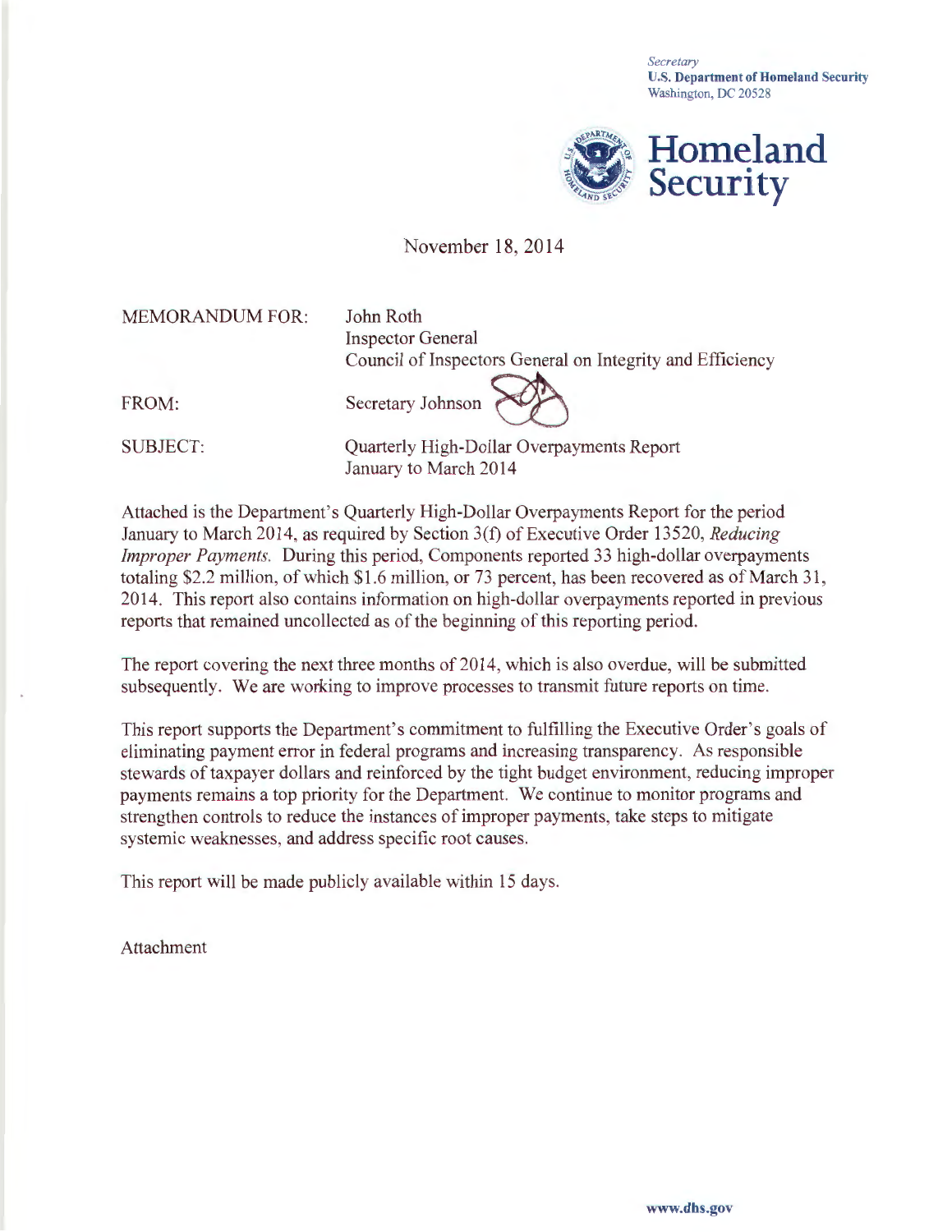*Secretary*  U.S. Department of Homeland Security Washington, DC 20528



### November 18, 2014

MEMORANDUM FOR:

John Roth Inspector General

FROM:

Council of Inspectors General on Integrity and Efficiency<br>Secretary Johnson

SUBJECT:

Quarterly High-Dollar Overpayments Report January to March 2014

Attached is the Department's Quarterly High-Dollar Overpayments Report for the period January to March 2014, as required by Section 3(f) of Executive Order 13520, *Reducing Improper Payments.* During this period, Components reported 33 high-dollar overpayments totaling \$2.2 million, of which \$1.6 million, or 73 percent, has been recovered as of March 31 , 2014. This report also contains information on high-dollar overpayments reported in previous reports that remained uncollected as of the beginning of this reporting period.

The report covering the next three months of 2014, which is also overdue, will be submitted subsequently. We are working to improve processes to transmit future reports on time.

This report supports the Department's commitment to fulfilling the Executive Order's goals of eliminating payment error in federal programs and increasing transparency. As responsible stewards of taxpayer dollars and reinforced by the tight budget environment, reducing improper payments remains a top priority for the Department. We continue to monitor programs and strengthen controls to reduce the instances of improper payments, take steps to mitigate systemic weaknesses, and address specific root causes.

This report will be made publicly available within 15 days.

Attachment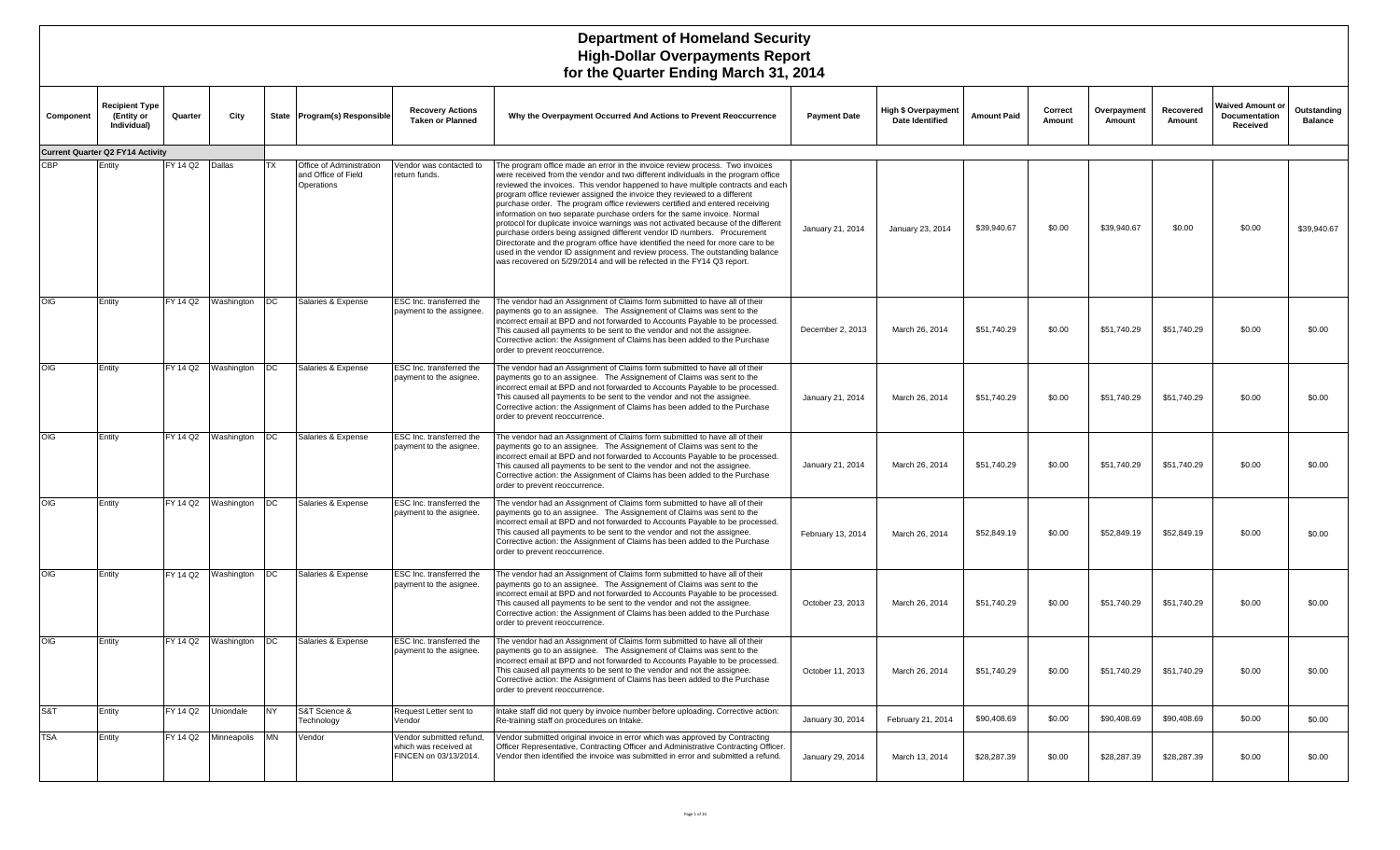| Component | Recipient Type<br>(Entity or<br>Individual) | Quarter         | City        |           | State Program(s) Responsible                                  | <b>Recovery Actions</b><br><b>Taken or Planned</b>                         | Why the Overpayment Occurred And Actions to Prevent Reoccurrence                                                                                                                                                                                                                                                                                                                                                                                                                                                                                                                                                                                                                                                                                                                                                                                                                                            | <b>Payment Date</b> | High \$ Overpayment<br><b>Date Identified</b> | <b>Amount Paid</b> | Correct<br>Amount | Overpayment<br>Amount | Recovered<br>Amount | Waived Amount or<br>Documentation<br>Received | Outstanding<br><b>Balance</b> |
|-----------|---------------------------------------------|-----------------|-------------|-----------|---------------------------------------------------------------|----------------------------------------------------------------------------|-------------------------------------------------------------------------------------------------------------------------------------------------------------------------------------------------------------------------------------------------------------------------------------------------------------------------------------------------------------------------------------------------------------------------------------------------------------------------------------------------------------------------------------------------------------------------------------------------------------------------------------------------------------------------------------------------------------------------------------------------------------------------------------------------------------------------------------------------------------------------------------------------------------|---------------------|-----------------------------------------------|--------------------|-------------------|-----------------------|---------------------|-----------------------------------------------|-------------------------------|
|           | <b>Current Quarter Q2 FY14 Activity</b>     |                 |             |           |                                                               |                                                                            |                                                                                                                                                                                                                                                                                                                                                                                                                                                                                                                                                                                                                                                                                                                                                                                                                                                                                                             |                     |                                               |                    |                   |                       |                     |                                               |                               |
| CBP       | Entity                                      | FY 14 Q2 Dallas |             | <b>TX</b> | Office of Administration<br>and Office of Field<br>Operations | Vendor was contacted to<br>return funds.                                   | The program office made an error in the invoice review process. Two invoices<br>were received from the vendor and two different individuals in the program office<br>reviewed the invoices. This vendor happened to have multiple contracts and each<br>program office reviewer assigned the invoice they reviewed to a different<br>purchase order. The program office reviewers certified and entered receiving<br>information on two separate purchase orders for the same invoice. Normal<br>protocol for duplicate invoice warnings was not activated because of the different<br>purchase orders being assigned different vendor ID numbers. Procurement<br>Directorate and the program office have identified the need for more care to be<br>used in the vendor ID assignment and review process. The outstanding balance<br>was recovered on 5/29/2014 and will be refected in the FY14 Q3 report. | January 21, 2014    | January 23, 2014                              | \$39,940.67        | \$0.00            | \$39,940.67           | \$0.00              | \$0.00                                        | \$39,940.67                   |
| OIG       | Entity                                      | FY 14 Q2        | Washington  | DC        | Salaries & Expense                                            | ESC Inc. transferred the<br>payment to the assignee.                       | The vendor had an Assignment of Claims form submitted to have all of their<br>payments go to an assignee. The Assignement of Claims was sent to the<br>incorrect email at BPD and not forwarded to Accounts Payable to be processed.<br>This caused all payments to be sent to the vendor and not the assignee.<br>Corrective action: the Assignment of Claims has been added to the Purchase<br>order to prevent reoccurrence.                                                                                                                                                                                                                                                                                                                                                                                                                                                                             | December 2, 2013    | March 26, 2014                                | \$51,740.29        | \$0.00            | \$51,740.29           | \$51,740.29         | \$0.00                                        | \$0.00                        |
| OIG       | Entity                                      | FY 14 Q2        | Washington  | DC        | Salaries & Expense                                            | ESC Inc. transferred the<br>payment to the asignee.                        | The vendor had an Assignment of Claims form submitted to have all of their<br>payments go to an assignee. The Assignement of Claims was sent to the<br>ncorrect email at BPD and not forwarded to Accounts Payable to be processed.<br>This caused all payments to be sent to the vendor and not the assignee.<br>Corrective action: the Assignment of Claims has been added to the Purchase<br>order to prevent reoccurrence.                                                                                                                                                                                                                                                                                                                                                                                                                                                                              | January 21, 2014    | March 26, 2014                                | \$51,740.29        | \$0.00            | \$51,740.29           | \$51,740.29         | \$0.00                                        | \$0.00                        |
| OIG       | Entity                                      | FY 14 Q2        | Washington  | DC        | Salaries & Expense                                            | ESC Inc. transferred the<br>payment to the asignee.                        | The vendor had an Assignment of Claims form submitted to have all of their<br>payments go to an assignee. The Assignement of Claims was sent to the<br>incorrect email at BPD and not forwarded to Accounts Payable to be processed.<br>This caused all payments to be sent to the vendor and not the assignee.<br>Corrective action: the Assignment of Claims has been added to the Purchase<br>order to prevent reoccurrence.                                                                                                                                                                                                                                                                                                                                                                                                                                                                             | January 21, 2014    | March 26, 2014                                | \$51,740.29        | \$0.00            | \$51,740.29           | \$51,740.29         | \$0.00                                        | \$0.00                        |
| OIG       | Entity                                      | FY 14 Q2        | Washington  | DC        | Salaries & Expense                                            | ESC Inc. transferred the<br>payment to the asignee.                        | The vendor had an Assignment of Claims form submitted to have all of their<br>payments go to an assignee. The Assignement of Claims was sent to the<br>incorrect email at BPD and not forwarded to Accounts Payable to be processed.<br>This caused all payments to be sent to the vendor and not the assignee.<br>Corrective action: the Assignment of Claims has been added to the Purchase<br>order to prevent reoccurrence.                                                                                                                                                                                                                                                                                                                                                                                                                                                                             | February 13, 2014   | March 26, 2014                                | \$52,849.19        | \$0.00            | \$52,849.19           | \$52,849.19         | \$0.00                                        | \$0.00                        |
| OIG       | Entity                                      | FY 14 Q2        | Washington  | DC        | Salaries & Expense                                            | ESC Inc. transferred the<br>payment to the asignee.                        | The vendor had an Assignment of Claims form submitted to have all of their<br>payments go to an assignee. The Assignement of Claims was sent to the<br>incorrect email at BPD and not forwarded to Accounts Payable to be processed.<br>This caused all payments to be sent to the vendor and not the assignee.<br>Corrective action: the Assignment of Claims has been added to the Purchase<br>order to prevent reoccurrence.                                                                                                                                                                                                                                                                                                                                                                                                                                                                             | October 23, 2013    | March 26, 2014                                | \$51,740.29        | \$0.00            | \$51,740.29           | \$51,740.29         | \$0.00                                        | \$0.00                        |
| OIG       | Entity                                      | FY 14 Q2        | Washington  | DC        | Salaries & Expense                                            | ESC Inc. transferred the<br>payment to the asignee.                        | The vendor had an Assignment of Claims form submitted to have all of their<br>payments go to an assignee. The Assignement of Claims was sent to the<br>incorrect email at BPD and not forwarded to Accounts Payable to be processed.<br>This caused all payments to be sent to the vendor and not the assignee.<br>Corrective action: the Assignment of Claims has been added to the Purchase<br>order to prevent reoccurrence.                                                                                                                                                                                                                                                                                                                                                                                                                                                                             | October 11, 2013    | March 26, 2014                                | \$51,740.29        | \$0.00            | \$51,740.29           | \$51,740.29         | \$0.00                                        | \$0.00                        |
| S&T       | Entity                                      | FY 14 Q2        | Uniondale   | NY.       | S&T Science &<br>Technology                                   | Request Letter sent to<br>Vendor                                           | Intake staff did not query by invoice number before uploading. Corrective action:<br>Re-training staff on procedures on Intake.                                                                                                                                                                                                                                                                                                                                                                                                                                                                                                                                                                                                                                                                                                                                                                             | January 30, 2014    | February 21, 2014                             | \$90,408.69        | \$0.00            | \$90,408.69           | \$90,408.69         | \$0.00                                        | \$0.00                        |
| TSA       | Entity                                      | FY 14 Q2        | Minneapolis | <b>MN</b> | Vendor                                                        | Vendor submitted refund,<br>which was received at<br>FINCEN on 03/13/2014. | Vendor submitted original invoice in error which was approved by Contracting<br>Officer Representative, Contracting Officer and Administrative Contracting Officer<br>Vendor then identified the invoice was submitted in error and submitted a refund.                                                                                                                                                                                                                                                                                                                                                                                                                                                                                                                                                                                                                                                     | January 29, 2014    | March 13, 2014                                | \$28,287.39        | \$0.00            | \$28,287.39           | \$28,287.39         | \$0.00                                        | \$0.00                        |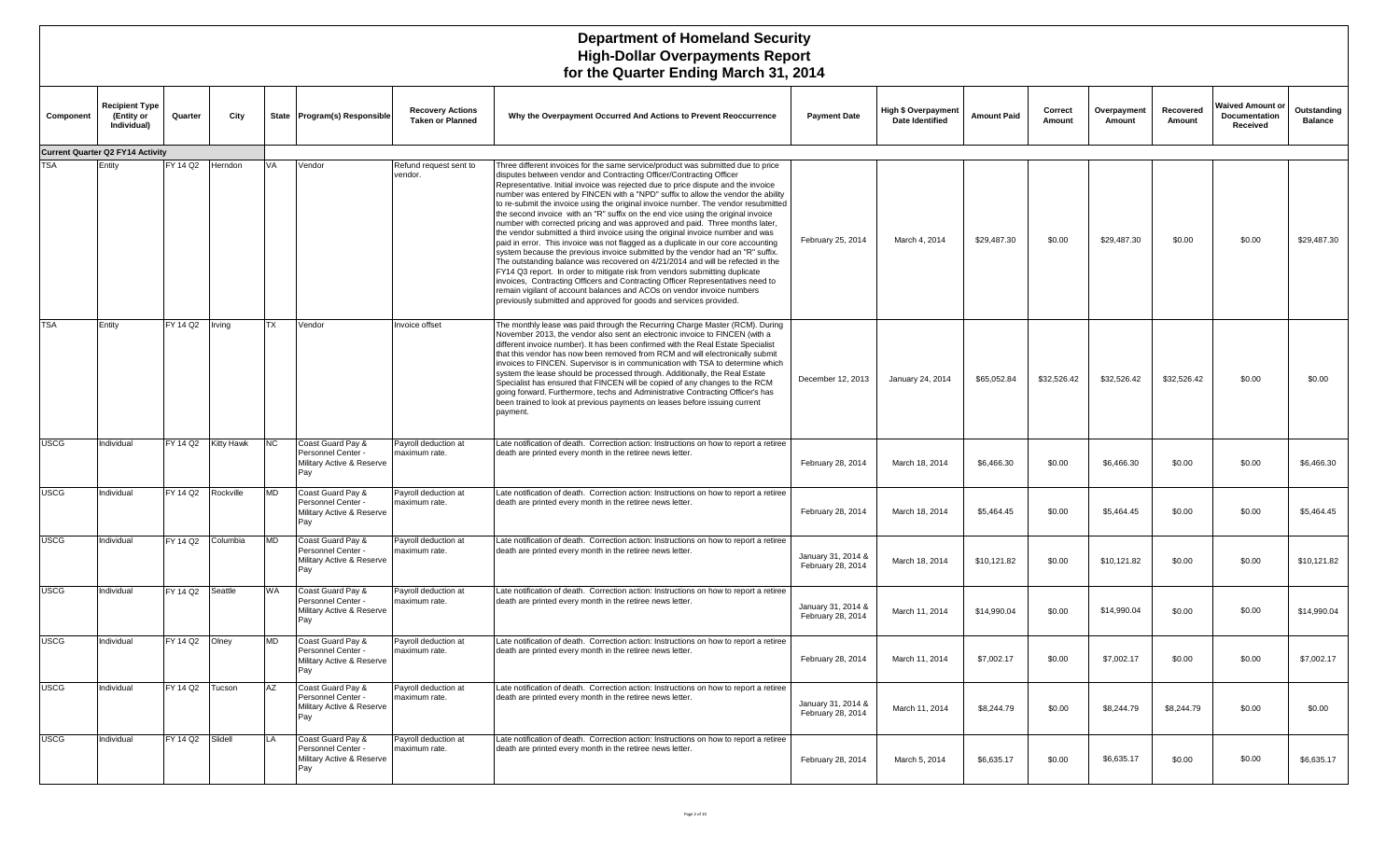|             | $\sim$ and waarter Entering martin 01, 2017        |          |                   |           |                                                                             |                                                    |                                                                                                                                                                                                                                                                                                                                                                                                                                                                                                                                                                                                                                                                                                                                                                                                                                                                                                                                                                                                                                                                                                                                                                                                                                                        |                                         |                                                      |                    |                   |                       |                     |                                                      |                               |
|-------------|----------------------------------------------------|----------|-------------------|-----------|-----------------------------------------------------------------------------|----------------------------------------------------|--------------------------------------------------------------------------------------------------------------------------------------------------------------------------------------------------------------------------------------------------------------------------------------------------------------------------------------------------------------------------------------------------------------------------------------------------------------------------------------------------------------------------------------------------------------------------------------------------------------------------------------------------------------------------------------------------------------------------------------------------------------------------------------------------------------------------------------------------------------------------------------------------------------------------------------------------------------------------------------------------------------------------------------------------------------------------------------------------------------------------------------------------------------------------------------------------------------------------------------------------------|-----------------------------------------|------------------------------------------------------|--------------------|-------------------|-----------------------|---------------------|------------------------------------------------------|-------------------------------|
| Component   | <b>Recipient Type</b><br>(Entity or<br>Individual) | Quarter  | City              |           | State Program(s) Responsible                                                | <b>Recovery Actions</b><br><b>Taken or Planned</b> | Why the Overpayment Occurred And Actions to Prevent Reoccurrence                                                                                                                                                                                                                                                                                                                                                                                                                                                                                                                                                                                                                                                                                                                                                                                                                                                                                                                                                                                                                                                                                                                                                                                       | <b>Payment Date</b>                     | <b>High \$ Overpayment</b><br><b>Date Identified</b> | <b>Amount Paid</b> | Correct<br>Amount | Overpayment<br>Amount | Recovered<br>Amount | <b>Waived Amount or</b><br>Documentation<br>Received | Outstanding<br><b>Balance</b> |
|             | <b>Current Quarter Q2 FY14 Activity</b>            |          |                   |           |                                                                             |                                                    |                                                                                                                                                                                                                                                                                                                                                                                                                                                                                                                                                                                                                                                                                                                                                                                                                                                                                                                                                                                                                                                                                                                                                                                                                                                        |                                         |                                                      |                    |                   |                       |                     |                                                      |                               |
| <b>TSA</b>  | Entity                                             | FY 14 Q2 | Herndon           | VA        | Vendor                                                                      | Refund request sent to<br>vendor.                  | Three different invoices for the same service/product was submitted due to price<br>disputes between vendor and Contracting Officer/Contracting Officer<br>Representative. Initial invoice was rejected due to price dispute and the invoice<br>number was entered by FINCEN with a "NPD" suffix to allow the vendor the ability<br>to re-submit the invoice using the original invoice number. The vendor resubmitted<br>the second invoice with an "R" suffix on the end vice using the original invoice<br>number with corrected pricing and was approved and paid. Three months later,<br>the vendor submitted a third invoice using the original invoice number and was<br>paid in error. This invoice was not flagged as a duplicate in our core accounting<br>system because the previous invoice submitted by the vendor had an "R" suffix.<br>The outstanding balance was recovered on 4/21/2014 and will be refected in the<br>FY14 Q3 report. In order to mitigate risk from vendors submitting duplicate<br>invoices, Contracting Officers and Contracting Officer Representatives need to<br>remain vigilant of account balances and ACOs on vendor invoice numbers<br>previously submitted and approved for goods and services provided. | February 25, 2014                       | March 4, 2014                                        | \$29,487.30        | \$0.00            | \$29,487.30           | \$0.00              | \$0.00                                               | \$29,487.30                   |
| TSA         | Entity                                             | FY 14 Q2 | Irving            | <b>TX</b> | Vendor                                                                      | Invoice offset                                     | The monthly lease was paid through the Recurring Charge Master (RCM). During<br>November 2013, the vendor also sent an electronic invoice to FINCEN (with a<br>different invoice number). It has been confirmed with the Real Estate Specialist<br>that this vendor has now been removed from RCM and will electronically submit<br>invoices to FINCEN. Supervisor is in communication with TSA to determine which<br>system the lease should be processed through. Additionally, the Real Estate<br>Specialist has ensured that FINCEN will be copied of any changes to the RCM<br>going forward. Furthermore, techs and Administrative Contracting Officer's has<br>been trained to look at previous payments on leases before issuing current<br>payment.                                                                                                                                                                                                                                                                                                                                                                                                                                                                                           | December 12, 2013                       | January 24, 2014                                     | \$65,052.84        | \$32,526.42       | \$32,526.42           | \$32,526.42         | \$0.00                                               | \$0.00                        |
| <b>USCG</b> | Individual                                         | FY 14 Q2 | <b>Kitty Hawk</b> | NC        | Coast Guard Pay &<br>Personnel Center -<br>Military Active & Reserve<br>Pay | Payroll deduction at<br>maximum rate.              | Late notification of death. Correction action: Instructions on how to report a retiree<br>death are printed every month in the retiree news letter.                                                                                                                                                                                                                                                                                                                                                                                                                                                                                                                                                                                                                                                                                                                                                                                                                                                                                                                                                                                                                                                                                                    | February 28, 2014                       | March 18, 2014                                       | \$6,466.30         | \$0.00            | \$6,466.30            | \$0.00              | \$0.00                                               | \$6,466.30                    |
| <b>USCG</b> | Individual                                         | FY 14 Q2 | Rockville         | <b>MD</b> | Coast Guard Pay &<br>Personnel Center -<br>Military Active & Reserve<br>Pay | Payroll deduction at<br>maximum rate.              | Late notification of death. Correction action: Instructions on how to report a retiree<br>death are printed every month in the retiree news letter.                                                                                                                                                                                                                                                                                                                                                                                                                                                                                                                                                                                                                                                                                                                                                                                                                                                                                                                                                                                                                                                                                                    | February 28, 2014                       | March 18, 2014                                       | \$5,464.45         | \$0.00            | \$5,464.45            | \$0.00              | \$0.00                                               | \$5,464.45                    |
| <b>USCG</b> | Individual                                         | FY 14 Q2 | Columbia          | <b>MD</b> | Coast Guard Pay &<br>Personnel Center -<br>Military Active & Reserve<br>Pay | Payroll deduction at<br>maximum rate               | Late notification of death. Correction action: Instructions on how to report a retiree<br>death are printed every month in the retiree news letter.                                                                                                                                                                                                                                                                                                                                                                                                                                                                                                                                                                                                                                                                                                                                                                                                                                                                                                                                                                                                                                                                                                    | January 31, 2014 &<br>February 28, 2014 | March 18, 2014                                       | \$10,121.82        | \$0.00            | \$10,121.82           | \$0.00              | \$0.00                                               | \$10,121.82                   |
| <b>USCG</b> | Individual                                         | FY 14 Q2 | Seattle           | WA        | Coast Guard Pay &<br>Personnel Center -<br>Military Active & Reserve<br>Pay | Payroll deduction at<br>maximum rate.              | Late notification of death. Correction action: Instructions on how to report a retiree<br>death are printed every month in the retiree news letter.                                                                                                                                                                                                                                                                                                                                                                                                                                                                                                                                                                                                                                                                                                                                                                                                                                                                                                                                                                                                                                                                                                    | January 31, 2014 &<br>February 28, 2014 | March 11, 2014                                       | \$14,990.04        | \$0.00            | \$14,990.04           | \$0.00              | \$0.00                                               | \$14,990.04                   |
| <b>USCG</b> | Individual                                         | FY 14 Q2 | Olney             | <b>MD</b> | Coast Guard Pay &<br>Personnel Center -<br>Military Active & Reserve<br>Pay | Payroll deduction at<br>maximum rate.              | Late notification of death. Correction action: Instructions on how to report a retiree<br>death are printed every month in the retiree news letter.                                                                                                                                                                                                                                                                                                                                                                                                                                                                                                                                                                                                                                                                                                                                                                                                                                                                                                                                                                                                                                                                                                    | February 28, 2014                       | March 11, 2014                                       | \$7,002.17         | \$0.00            | \$7,002.17            | \$0.00              | \$0.00                                               | \$7,002.17                    |
| <b>USCG</b> | Individual                                         | FY 14 Q2 | Tucson            | AZ        | Coast Guard Pay &<br>Personnel Center -<br>Military Active & Reserve<br>Pay | Payroll deduction at<br>maximum rate.              | Late notification of death. Correction action: Instructions on how to report a retiree<br>death are printed every month in the retiree news letter.                                                                                                                                                                                                                                                                                                                                                                                                                                                                                                                                                                                                                                                                                                                                                                                                                                                                                                                                                                                                                                                                                                    | January 31, 2014 &<br>February 28, 2014 | March 11, 2014                                       | \$8,244.79         | \$0.00            | \$8,244.79            | \$8,244.79          | \$0.00                                               | \$0.00                        |
| <b>USCG</b> | Individual                                         | FY 14 Q2 | Slidell           | LA        | Coast Guard Pay &<br>Personnel Center -<br>Military Active & Reserve<br>Pay | Payroll deduction at<br>maximum rate.              | Late notification of death. Correction action: Instructions on how to report a retiree<br>death are printed every month in the retiree news letter.                                                                                                                                                                                                                                                                                                                                                                                                                                                                                                                                                                                                                                                                                                                                                                                                                                                                                                                                                                                                                                                                                                    | February 28, 2014                       | March 5, 2014                                        | \$6.635.17         | \$0.00            | \$6,635.17            | \$0.00              | \$0.00                                               | \$6,635.17                    |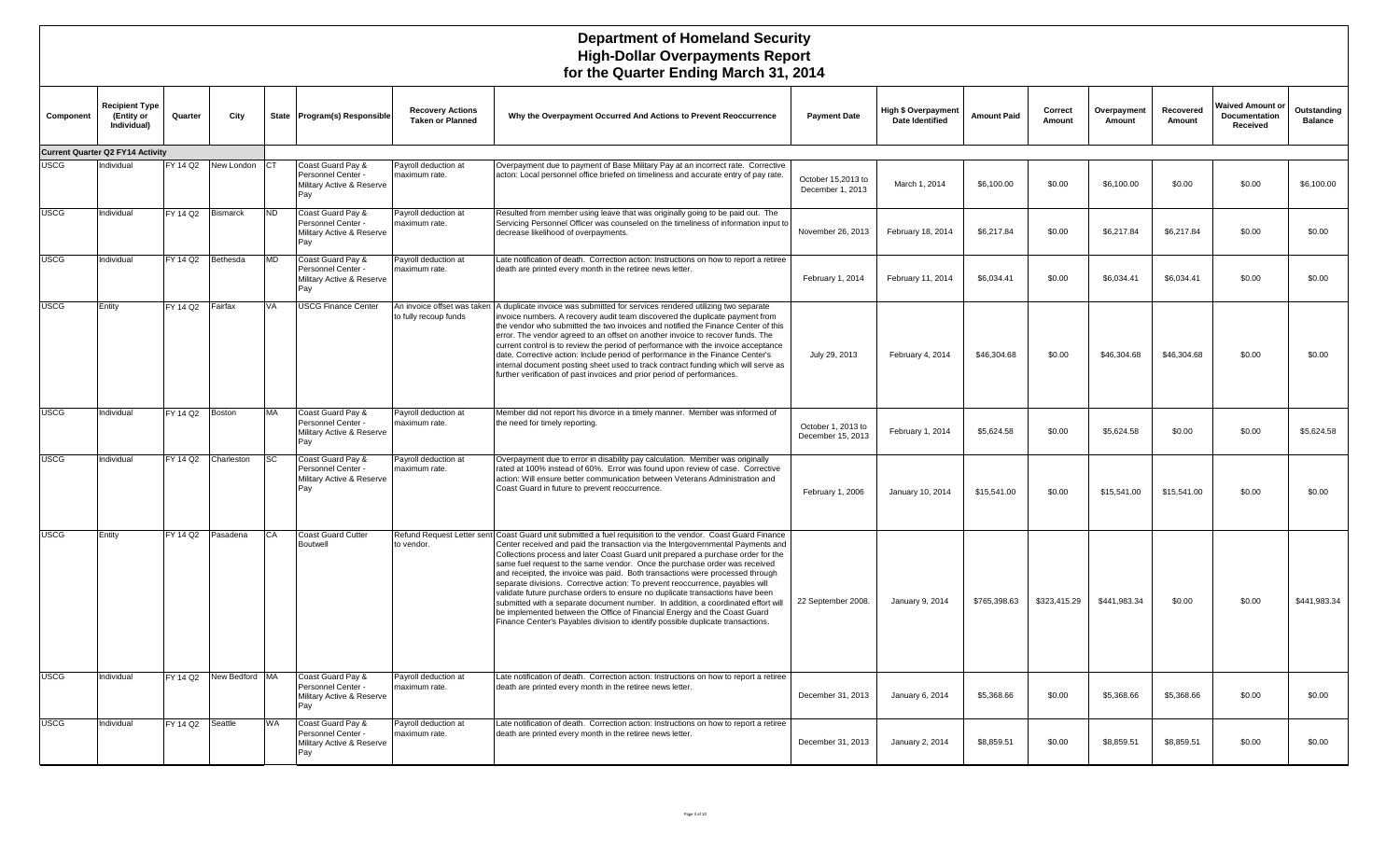| Component   | <b>Recipient Type</b><br>(Entity or<br>Individual) | Quarter           | City                    |           | State Program(s) Responsible                                                | <b>Recovery Actions</b><br><b>Taken or Planned</b> | Why the Overpayment Occurred And Actions to Prevent Reoccurrence                                                                                                                                                                                                                                                                                                                                                                                                                                                                                                                                                                                                                                                                                                                                                                                                         | <b>Payment Date</b>                     | <b>High \$ Overpayment</b><br>Date Identified | <b>Amount Paid</b> | Correct<br>Amount | Overpayment<br>Amount | Recovered<br>Amount | <b>Waived Amount of</b><br>Documentation<br>Received | Outstanding<br><b>Balance</b> |
|-------------|----------------------------------------------------|-------------------|-------------------------|-----------|-----------------------------------------------------------------------------|----------------------------------------------------|--------------------------------------------------------------------------------------------------------------------------------------------------------------------------------------------------------------------------------------------------------------------------------------------------------------------------------------------------------------------------------------------------------------------------------------------------------------------------------------------------------------------------------------------------------------------------------------------------------------------------------------------------------------------------------------------------------------------------------------------------------------------------------------------------------------------------------------------------------------------------|-----------------------------------------|-----------------------------------------------|--------------------|-------------------|-----------------------|---------------------|------------------------------------------------------|-------------------------------|
|             | <b>Current Quarter Q2 FY14 Activity</b>            |                   |                         |           |                                                                             |                                                    |                                                                                                                                                                                                                                                                                                                                                                                                                                                                                                                                                                                                                                                                                                                                                                                                                                                                          |                                         |                                               |                    |                   |                       |                     |                                                      |                               |
| <b>USCG</b> | Individual                                         |                   | FY 14 Q2 New London CT  |           | Coast Guard Pay &<br>Personnel Center -<br>Military Active & Reserve<br>Pay | Payroll deduction at<br>maximum rate.              | Overpayment due to payment of Base Military Pay at an incorrect rate. Corrective<br>acton: Local personnel office briefed on timeliness and accurate entry of pay rate.                                                                                                                                                                                                                                                                                                                                                                                                                                                                                                                                                                                                                                                                                                  | October 15,2013 to<br>December 1, 2013  | March 1, 2014                                 | \$6,100.00         | \$0.00            | \$6,100.00            | \$0.00              | \$0.00                                               | \$6,100.00                    |
| <b>USCG</b> | Individual                                         | FY 14 Q2          | Bismarck                | <b>ND</b> | Coast Guard Pay &<br>Personnel Center -<br>Military Active & Reserve<br>Pay | Payroll deduction at<br>maximum rate.              | Resulted from member using leave that was originally going to be paid out. The<br>Servicing Personnel Officer was counseled on the timeliness of information input to<br>decrease likelihood of overpayments.                                                                                                                                                                                                                                                                                                                                                                                                                                                                                                                                                                                                                                                            | November 26, 2013                       | February 18, 2014                             | \$6,217.84         | \$0.00            | \$6,217.84            | \$6,217.84          | \$0.00                                               | \$0.00                        |
| <b>USCG</b> | Individual                                         | FY 14 Q2 Bethesda |                         | <b>MD</b> | Coast Guard Pay &<br>Personnel Center -<br>Military Active & Reserve<br>Pay | Payroll deduction at<br>maximum rate.              | Late notification of death. Correction action: Instructions on how to report a retiree<br>death are printed every month in the retiree news letter                                                                                                                                                                                                                                                                                                                                                                                                                                                                                                                                                                                                                                                                                                                       | February 1, 2014                        | February 11, 2014                             | \$6,034.41         | \$0.00            | \$6,034.41            | \$6,034.41          | \$0.00                                               | \$0.00                        |
| <b>USCG</b> | Entity                                             | FY 14 Q2 Fairfax  |                         | VA        | <b>USCG Finance Center</b>                                                  | to fully recoup funds                              | An invoice offset was taken   A duplicate invoice was submitted for services rendered utilizing two separate<br>invoice numbers. A recovery audit team discovered the duplicate payment from<br>the vendor who submitted the two invoices and notified the Finance Center of this<br>error. The vendor agreed to an offset on another invoice to recover funds. The<br>current control is to review the period of performance with the invoice acceptance<br>date. Corrective action: Include period of performance in the Finance Center's<br>nternal document posting sheet used to track contract funding which will serve as<br>further verification of past invoices and prior period of performances.                                                                                                                                                              | July 29, 2013                           | February 4, 2014                              | \$46,304.68        | \$0.00            | \$46,304.68           | \$46,304.68         | \$0.00                                               | \$0.00                        |
| <b>USCG</b> | Individual                                         | FY 14 Q2          | Boston                  | MA        | Coast Guard Pay &<br>Personnel Center -<br>Military Active & Reserve<br>Pay | Payroll deduction at<br>maximum rate.              | Member did not report his divorce in a timely manner. Member was informed of<br>the need for timely reporting.                                                                                                                                                                                                                                                                                                                                                                                                                                                                                                                                                                                                                                                                                                                                                           | October 1, 2013 to<br>December 15, 2013 | February 1, 2014                              | \$5,624.58         | \$0.00            | \$5,624.58            | \$0.00              | \$0.00                                               | \$5.624.58                    |
| <b>USCG</b> | Individual                                         | FY 14 Q2          | Charleston              | <b>SC</b> | Coast Guard Pay &<br>Personnel Center -<br>Military Active & Reserve<br>Pay | Payroll deduction at<br>maximum rate.              | Overpayment due to error in disability pay calculation. Member was originally<br>rated at 100% instead of 60%. Error was found upon review of case. Corrective<br>action: Will ensure better communication between Veterans Administration and<br>Coast Guard in future to prevent reoccurrence.                                                                                                                                                                                                                                                                                                                                                                                                                                                                                                                                                                         | February 1, 2006                        | January 10, 2014                              | \$15,541.00        | \$0.00            | \$15,541.00           | \$15,541.00         | \$0.00                                               | \$0.00                        |
| <b>USCG</b> | Entity                                             | FY 14 Q2 Pasadena |                         | CA        | <b>Coast Guard Cutter</b><br>Boutwell                                       | to vendor.                                         | Refund Request Letter sent Coast Guard unit submitted a fuel requisition to the vendor. Coast Guard Finance<br>Center received and paid the transaction via the Intergovernmental Payments and<br>Collections process and later Coast Guard unit prepared a purchase order for the<br>same fuel request to the same vendor. Once the purchase order was received<br>and receipted, the invoice was paid. Both transactions were processed through<br>separate divisions. Corrective action: To prevent reoccurrence, payables will<br>validate future purchase orders to ensure no duplicate transactions have been<br>submitted with a separate document number. In addition, a coordinated effort will<br>be implemented between the Office of Financial Energy and the Coast Guard<br>Finance Center's Payables division to identify possible duplicate transactions. | 22 September 2008.                      | January 9, 2014                               | \$765,398.63       | \$323,415.29      | \$441,983.34          | \$0.00              | \$0.00                                               | \$441,983.34                  |
| <b>USCG</b> | Individual                                         |                   | FY 14 Q2 New Bedford MA |           | Coast Guard Pay &<br>Personnel Center -<br>Military Active & Reserve<br>Pay | Payroll deduction at<br>maximum rate.              | Late notification of death. Correction action: Instructions on how to report a retiree<br>death are printed every month in the retiree news letter                                                                                                                                                                                                                                                                                                                                                                                                                                                                                                                                                                                                                                                                                                                       | December 31, 2013                       | January 6, 2014                               | \$5,368.66         | \$0.00            | \$5,368.66            | \$5,368.66          | \$0.00                                               | \$0.00                        |
| <b>USCG</b> | Individual                                         | FY 14 Q2          | Seattle                 | WA        | Coast Guard Pay &<br>Personnel Center -<br>Military Active & Reserve<br>Pay | Payroll deduction at<br>maximum rate.              | Late notification of death. Correction action: Instructions on how to report a retiree<br>death are printed every month in the retiree news letter.                                                                                                                                                                                                                                                                                                                                                                                                                                                                                                                                                                                                                                                                                                                      | December 31, 2013                       | January 2, 2014                               | \$8,859.51         | \$0.00            | \$8,859.51            | \$8,859.51          | \$0.00                                               | \$0.00                        |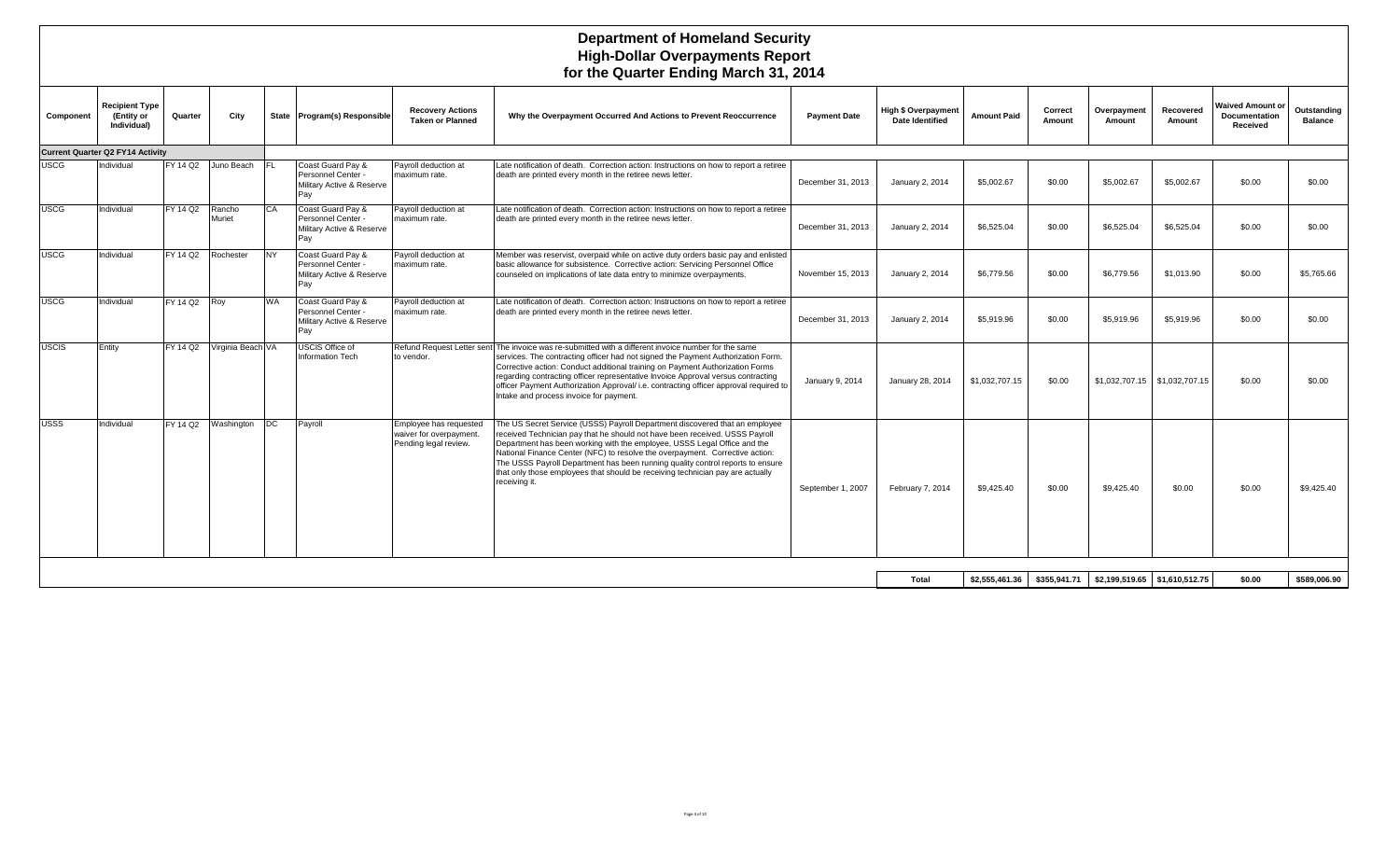| Component    | Recipient Type<br>(Entity or<br>Individual) | Quarter      | City              |            | State Program(s) Responsible                                                | <b>Recovery Actions</b><br><b>Taken or Planned</b>                         | Why the Overpayment Occurred And Actions to Prevent Reoccurrence                                                                                                                                                                                                                                                                                                                                                                                                                                            | <b>Payment Date</b> | <b>High \$ Overpayment</b><br><b>Date Identified</b> | <b>Amount Paid</b> | Correct<br>Amount | Overpayment<br>Amount         | Recovered<br>Amount | Waived Amount or<br><b>Documentation</b><br>Received | Outstanding<br><b>Balance</b> |
|--------------|---------------------------------------------|--------------|-------------------|------------|-----------------------------------------------------------------------------|----------------------------------------------------------------------------|-------------------------------------------------------------------------------------------------------------------------------------------------------------------------------------------------------------------------------------------------------------------------------------------------------------------------------------------------------------------------------------------------------------------------------------------------------------------------------------------------------------|---------------------|------------------------------------------------------|--------------------|-------------------|-------------------------------|---------------------|------------------------------------------------------|-------------------------------|
|              | <b>Current Quarter Q2 FY14 Activity</b>     |              |                   |            |                                                                             |                                                                            |                                                                                                                                                                                                                                                                                                                                                                                                                                                                                                             |                     |                                                      |                    |                   |                               |                     |                                                      |                               |
| <b>USCG</b>  | Individual                                  | FY 14 Q2     | Juno Beach        | IFL.       | Coast Guard Pay &<br>Personnel Center -<br>Military Active & Reserve<br>Pay | Payroll deduction at<br>maximum rate.                                      | Late notification of death. Correction action: Instructions on how to report a retiree<br>death are printed every month in the retiree news letter.                                                                                                                                                                                                                                                                                                                                                         | December 31, 2013   | January 2, 2014                                      | \$5,002.67         | \$0.00            | \$5,002.67                    | \$5,002.67          | \$0.00                                               | \$0.00                        |
| <b>USCG</b>  | Individual                                  | FY 14 Q2     | Rancho<br>Muriet  | CA         | Coast Guard Pay &<br>Personnel Center<br>Military Active & Reserve<br>Pav   | Payroll deduction at<br>maximum rate.                                      | Late notification of death. Correction action: Instructions on how to report a retiree<br>death are printed every month in the retiree news letter.                                                                                                                                                                                                                                                                                                                                                         | December 31, 2013   | January 2, 2014                                      | \$6,525.04         | \$0.00            | \$6,525.04                    | \$6,525.04          | \$0.00                                               | \$0.00                        |
| <b>USCG</b>  | Individual                                  | FY 14 Q2     | Rochester         | NY.        | Coast Guard Pay &<br>Personnel Center -<br>Military Active & Reserve<br>Pay | Payroll deduction at<br>maximum rate.                                      | Member was reservist, overpaid while on active duty orders basic pay and enlisted<br>basic allowance for subsistence. Corrective action: Servicing Personnel Office<br>counseled on implications of late data entry to minimize overpayments.                                                                                                                                                                                                                                                               | November 15, 2013   | January 2, 2014                                      | \$6,779.56         | \$0.00            | \$6,779.56                    | \$1,013.90          | \$0.00                                               | \$5,765.66                    |
| <b>USCG</b>  | Individual                                  | FY 14 Q2 Roy |                   | <b>WA</b>  | Coast Guard Pay &<br>Personnel Center -<br>Military Active & Reserve<br>Pav | Payroll deduction at<br>maximum rate.                                      | Late notification of death. Correction action: Instructions on how to report a retiree<br>death are printed every month in the retiree news letter.                                                                                                                                                                                                                                                                                                                                                         | December 31, 2013   | January 2, 2014                                      | \$5,919.96         | \$0.00            | \$5,919.96                    | \$5,919.96          | \$0.00                                               | \$0.00                        |
| <b>USCIS</b> | Entity                                      | FY 14 Q2     | Virginia Beach VA |            | USCIS Office of<br><b>Information Tech</b>                                  | to vendor.                                                                 | Refund Request Letter sent The invoice was re-submitted with a different invoice number for the same<br>services. The contracting officer had not signed the Payment Authorization Form.<br>Corrective action: Conduct additional training on Payment Authorization Forms<br>regarding contracting officer representative Invoice Approval versus contracting<br>officer Payment Authorization Approval/ i.e. contracting officer approval required to<br>Intake and process invoice for payment.           | January 9, 2014     | January 28, 2014                                     | \$1,032,707.15     | \$0.00            | \$1,032,707.15 \$1,032,707.15 |                     | \$0.00                                               | \$0.00                        |
| <b>USSS</b>  | Individual                                  | FY 14 Q2     | Washington        | <b>IDC</b> | Payroll                                                                     | Employee has requested<br>waiver for overpayment.<br>Pending legal review. | The US Secret Service (USSS) Payroll Department discovered that an employee<br>received Technician pay that he should not have been received. USSS Payroll<br>Department has been working with the employee, USSS Legal Office and the<br>National Finance Center (NFC) to resolve the overpayment. Corrective action:<br>The USSS Payroll Department has been running quality control reports to ensure<br>that only those employees that should be receiving technician pay are actually<br>receiving it. | September 1, 2007   | February 7, 2014                                     | \$9,425.40         | \$0.00            | \$9,425.40                    | \$0.00              | \$0.00                                               | \$9,425.40                    |
|              |                                             |              |                   |            |                                                                             |                                                                            |                                                                                                                                                                                                                                                                                                                                                                                                                                                                                                             |                     |                                                      |                    |                   |                               |                     |                                                      |                               |
|              |                                             |              |                   |            |                                                                             |                                                                            |                                                                                                                                                                                                                                                                                                                                                                                                                                                                                                             |                     | Total                                                | \$2,555,461.36     | \$355,941.71      | \$2,199,519.65 \$1,610,512.75 |                     | \$0.00                                               | \$589.006.90                  |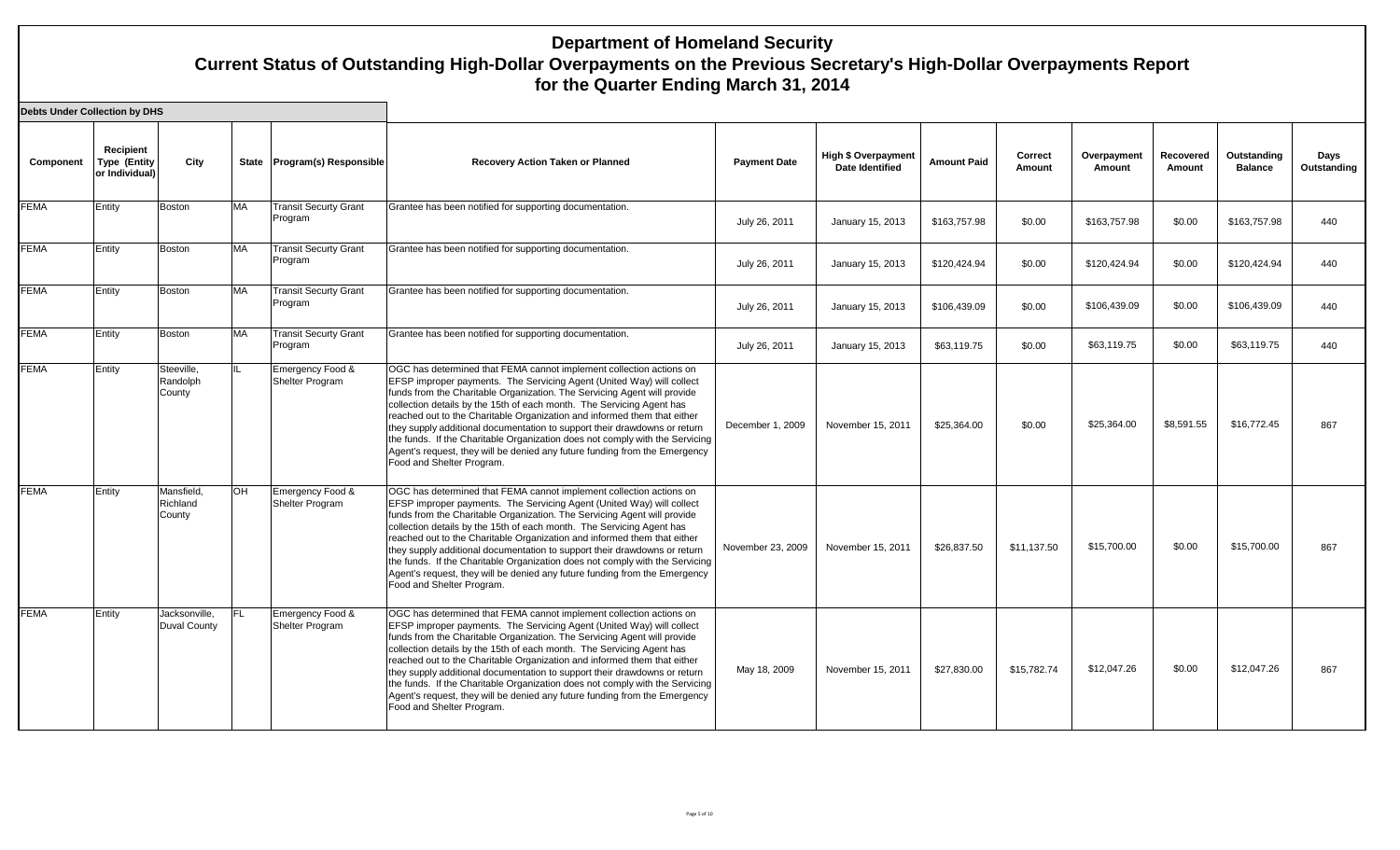| <b>Debts Under Collection by DHS</b> |                                                    |                                      |           |                                         |                                                                                                                                                                                                                                                                                                                                                                                                                                                                                                                                                                                                                                                       |                     |                                               |                    |                   |                       |                     |                               |                     |
|--------------------------------------|----------------------------------------------------|--------------------------------------|-----------|-----------------------------------------|-------------------------------------------------------------------------------------------------------------------------------------------------------------------------------------------------------------------------------------------------------------------------------------------------------------------------------------------------------------------------------------------------------------------------------------------------------------------------------------------------------------------------------------------------------------------------------------------------------------------------------------------------------|---------------------|-----------------------------------------------|--------------------|-------------------|-----------------------|---------------------|-------------------------------|---------------------|
| Component                            | Recipient<br><b>Type (Entity</b><br>or Individual) | City                                 |           | State Program(s) Responsible            | <b>Recovery Action Taken or Planned</b>                                                                                                                                                                                                                                                                                                                                                                                                                                                                                                                                                                                                               | <b>Payment Date</b> | <b>High \$ Overpayment</b><br>Date Identified | <b>Amount Paid</b> | Correct<br>Amount | Overpayment<br>Amount | Recovered<br>Amount | Outstanding<br><b>Balance</b> | Days<br>Outstanding |
| <b>FEMA</b>                          | Entity                                             | <b>Boston</b>                        | <b>MA</b> | <b>Transit Securty Grant</b><br>Program | Grantee has been notified for supporting documentation.                                                                                                                                                                                                                                                                                                                                                                                                                                                                                                                                                                                               | July 26, 2011       | January 15, 2013                              | \$163,757.98       | \$0.00            | \$163,757.98          | \$0.00              | \$163,757.98                  | 440                 |
| <b>FEMA</b>                          | Entity                                             | Boston                               | <b>MA</b> | <b>Transit Securty Grant</b><br>Program | Grantee has been notified for supporting documentation.                                                                                                                                                                                                                                                                                                                                                                                                                                                                                                                                                                                               | July 26, 2011       | January 15, 2013                              | \$120,424.94       | \$0.00            | \$120,424.94          | \$0.00              | \$120,424.94                  | 440                 |
| <b>FEMA</b>                          | Entity                                             | <b>Boston</b>                        | <b>MA</b> | <b>Transit Securty Grant</b><br>Program | Grantee has been notified for supporting documentation.                                                                                                                                                                                                                                                                                                                                                                                                                                                                                                                                                                                               | July 26, 2011       | January 15, 2013                              | \$106,439.09       | \$0.00            | \$106,439.09          | \$0.00              | \$106,439.09                  | 440                 |
| <b>FEMA</b>                          | Entity                                             | <b>Boston</b>                        | <b>MA</b> | <b>Transit Securty Grant</b><br>Program | Grantee has been notified for supporting documentation.                                                                                                                                                                                                                                                                                                                                                                                                                                                                                                                                                                                               | July 26, 2011       | January 15, 2013                              | \$63,119.75        | \$0.00            | \$63,119.75           | \$0.00              | \$63,119.75                   | 440                 |
| <b>FEMA</b>                          | Entity                                             | Steeville.<br>Randolph<br>County     | IIL       | Emergency Food &<br>Shelter Program     | OGC has determined that FEMA cannot implement collection actions on<br>EFSP improper payments. The Servicing Agent (United Way) will collect<br>funds from the Charitable Organization. The Servicing Agent will provide<br>collection details by the 15th of each month. The Servicing Agent has<br>reached out to the Charitable Organization and informed them that either<br>they supply additional documentation to support their drawdowns or return<br>the funds. If the Charitable Organization does not comply with the Servicing<br>Agent's request, they will be denied any future funding from the Emergency<br>Food and Shelter Program. | December 1, 2009    | November 15, 2011                             | \$25,364.00        | \$0.00            | \$25,364.00           | \$8,591.55          | \$16,772.45                   | 867                 |
| <b>FEMA</b>                          | Entity                                             | Mansfield.<br>Richland<br>County     | <b>OH</b> | Emergency Food &<br>Shelter Program     | OGC has determined that FEMA cannot implement collection actions on<br>EFSP improper payments. The Servicing Agent (United Way) will collect<br>funds from the Charitable Organization. The Servicing Agent will provide<br>collection details by the 15th of each month. The Servicing Agent has<br>reached out to the Charitable Organization and informed them that either<br>they supply additional documentation to support their drawdowns or return<br>the funds. If the Charitable Organization does not comply with the Servicing<br>Agent's request, they will be denied any future funding from the Emergency<br>Food and Shelter Program. | November 23, 2009   | November 15, 2011                             | \$26,837.50        | \$11,137.50       | \$15,700.00           | \$0.00              | \$15,700.00                   | 867                 |
| <b>FEMA</b>                          | Entity                                             | Jacksonville,<br><b>Duval County</b> | IFL.      | Emergency Food &<br>Shelter Program     | OGC has determined that FEMA cannot implement collection actions on<br>EFSP improper payments. The Servicing Agent (United Way) will collect<br>funds from the Charitable Organization. The Servicing Agent will provide<br>collection details by the 15th of each month. The Servicing Agent has<br>reached out to the Charitable Organization and informed them that either<br>they supply additional documentation to support their drawdowns or return<br>the funds. If the Charitable Organization does not comply with the Servicing<br>Agent's request, they will be denied any future funding from the Emergency<br>Food and Shelter Program. | May 18, 2009        | November 15, 2011                             | \$27,830,00        | \$15,782.74       | \$12,047.26           | \$0.00              | \$12.047.26                   | 867                 |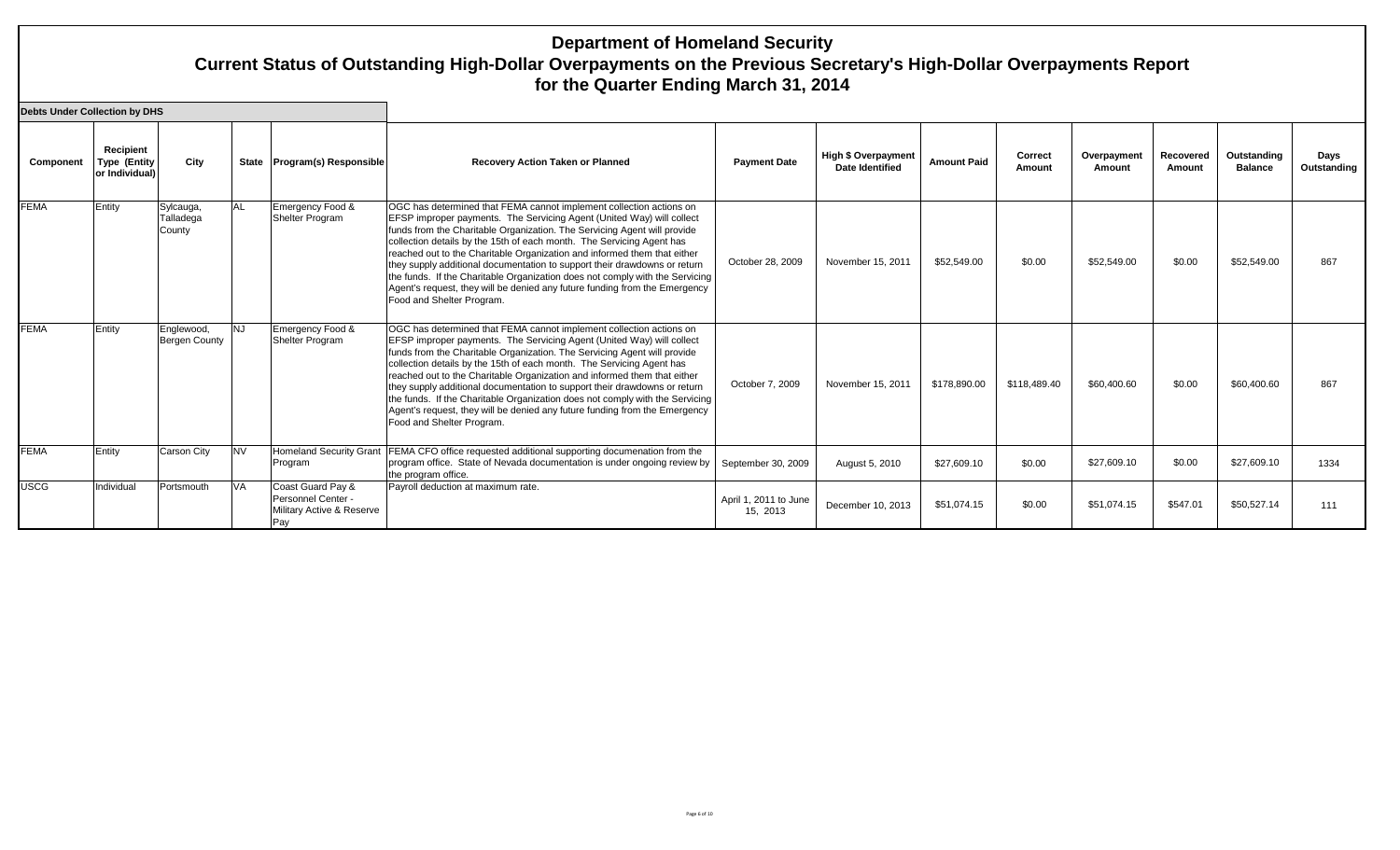| <b>Debts Under Collection by DHS</b> |                                                    |                                    |            |                                                                             |                                                                                                                                                                                                                                                                                                                                                                                                                                                                                                                                                                                                                                                       |                                   |                                                      |                    |                   |                       |                     |                               |                     |
|--------------------------------------|----------------------------------------------------|------------------------------------|------------|-----------------------------------------------------------------------------|-------------------------------------------------------------------------------------------------------------------------------------------------------------------------------------------------------------------------------------------------------------------------------------------------------------------------------------------------------------------------------------------------------------------------------------------------------------------------------------------------------------------------------------------------------------------------------------------------------------------------------------------------------|-----------------------------------|------------------------------------------------------|--------------------|-------------------|-----------------------|---------------------|-------------------------------|---------------------|
| Component                            | Recipient<br><b>Type (Entity</b><br>or Individual) | City                               |            | State Program(s) Responsible                                                | <b>Recovery Action Taken or Planned</b>                                                                                                                                                                                                                                                                                                                                                                                                                                                                                                                                                                                                               | <b>Payment Date</b>               | <b>High \$ Overpayment</b><br><b>Date Identified</b> | <b>Amount Paid</b> | Correct<br>Amount | Overpayment<br>Amount | Recovered<br>Amount | Outstanding<br><b>Balance</b> | Days<br>Outstanding |
| <b>FEMA</b>                          | Entity                                             | Sylcauga,<br>Talladega<br>County   | <b>AL</b>  | Emergency Food &<br>Shelter Program                                         | OGC has determined that FEMA cannot implement collection actions on<br>EFSP improper payments. The Servicing Agent (United Way) will collect<br>funds from the Charitable Organization. The Servicing Agent will provide<br>collection details by the 15th of each month. The Servicing Agent has<br>reached out to the Charitable Organization and informed them that either<br>they supply additional documentation to support their drawdowns or return<br>the funds. If the Charitable Organization does not comply with the Servicing<br>Agent's request, they will be denied any future funding from the Emergency<br>Food and Shelter Program. | October 28, 2009                  | November 15, 2011                                    | \$52,549.00        | \$0.00            | \$52,549.00           | \$0.00              | \$52,549.00                   | 867                 |
| <b>FEMA</b>                          | Entity                                             | Englewood,<br><b>Bergen County</b> | <b>INJ</b> | Emergency Food &<br>Shelter Program                                         | OGC has determined that FEMA cannot implement collection actions on<br>EFSP improper payments. The Servicing Agent (United Way) will collect<br>funds from the Charitable Organization. The Servicing Agent will provide<br>collection details by the 15th of each month. The Servicing Agent has<br>reached out to the Charitable Organization and informed them that either<br>they supply additional documentation to support their drawdowns or return<br>the funds. If the Charitable Organization does not comply with the Servicing<br>Agent's request, they will be denied any future funding from the Emergency<br>Food and Shelter Program. | October 7, 2009                   | November 15, 2011                                    | \$178,890.00       | \$118,489.40      | \$60,400.60           | \$0.00              | \$60,400.60                   | 867                 |
| <b>FEMA</b>                          | Entity                                             | Carson City                        | <b>NV</b>  | <b>Homeland Security Grant</b><br>Program                                   | FEMA CFO office requested additional supporting documenation from the<br>program office. State of Nevada documentation is under ongoing review by<br>the program office.                                                                                                                                                                                                                                                                                                                                                                                                                                                                              | September 30, 2009                | August 5, 2010                                       | \$27,609.10        | \$0.00            | \$27,609.10           | \$0.00              | \$27,609.10                   | 1334                |
| <b>USCG</b>                          | Individual                                         | Portsmouth                         | <b>VA</b>  | Coast Guard Pay &<br>Personnel Center -<br>Military Active & Reserve<br>Pav | Payroll deduction at maximum rate.                                                                                                                                                                                                                                                                                                                                                                                                                                                                                                                                                                                                                    | April 1, 2011 to June<br>15, 2013 | December 10, 2013                                    | \$51,074.15        | \$0.00            | \$51,074.15           | \$547.01            | \$50,527.14                   | 111                 |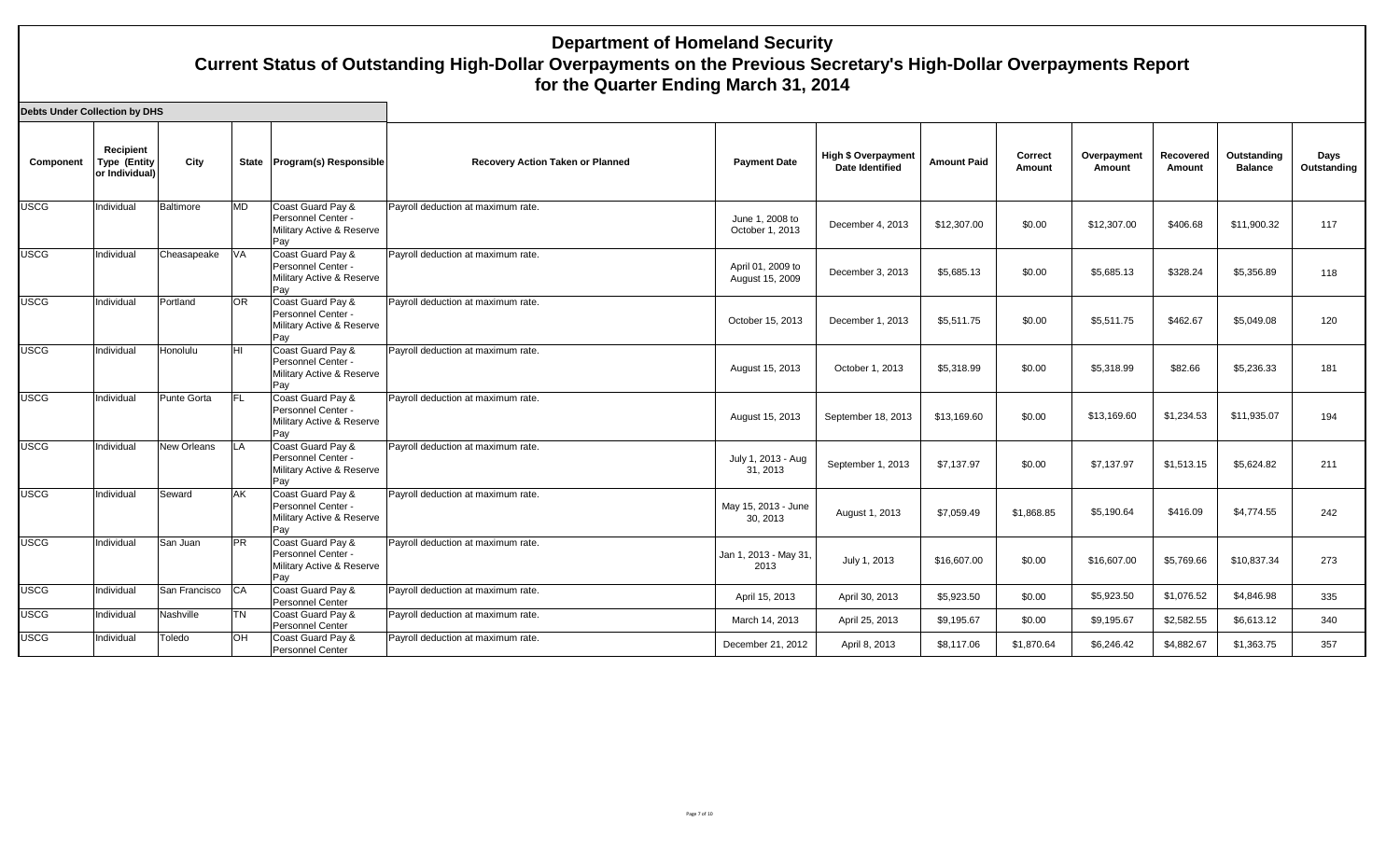| Debts Under Collection by DHS |  |
|-------------------------------|--|
|-------------------------------|--|

| Component   | Recipient<br><b>Type (Entity</b><br>or Individual) | City               |           | State Program(s) Responsible                                                | <b>Recovery Action Taken or Planned</b> | <b>Payment Date</b>                  | <b>High \$ Overpayment</b><br>Date Identified | <b>Amount Paid</b> | Correct<br>Amount | Overpayment<br>Amount | Recovered<br>Amount | Outstanding<br><b>Balance</b> | Days<br>Outstanding |
|-------------|----------------------------------------------------|--------------------|-----------|-----------------------------------------------------------------------------|-----------------------------------------|--------------------------------------|-----------------------------------------------|--------------------|-------------------|-----------------------|---------------------|-------------------------------|---------------------|
| <b>USCG</b> | Individual                                         | Baltimore          | <b>MD</b> | Coast Guard Pay &<br>Personnel Center -<br>Military Active & Reserve<br>Pay | Payroll deduction at maximum rate.      | June 1, 2008 to<br>October 1, 2013   | December 4, 2013                              | \$12,307.00        | \$0.00            | \$12,307.00           | \$406.68            | \$11.900.32                   | 117                 |
| <b>USCG</b> | Individual                                         | Cheasapeake        | VA        | Coast Guard Pay &<br>Personnel Center -<br>Military Active & Reserve<br>Pay | Payroll deduction at maximum rate.      | April 01, 2009 to<br>August 15, 2009 | December 3, 2013                              | \$5,685.13         | \$0.00            | \$5,685.13            | \$328.24            | \$5,356.89                    | 118                 |
| <b>USCG</b> | Individual                                         | Portland           | <b>OR</b> | Coast Guard Pay &<br>Personnel Center -<br>Military Active & Reserve<br>Pay | Payroll deduction at maximum rate.      | October 15, 2013                     | December 1, 2013                              | \$5,511.75         | \$0.00            | \$5,511.75            | \$462.67            | \$5,049.08                    | 120                 |
| <b>USCG</b> | Individual                                         | Honolulu           | lнı       | Coast Guard Pay &<br>Personnel Center -<br>Military Active & Reserve<br>Pay | Payroll deduction at maximum rate.      | August 15, 2013                      | October 1, 2013                               | \$5,318.99         | \$0.00            | \$5,318.99            | \$82.66             | \$5,236.33                    | 181                 |
| <b>USCG</b> | Individual                                         | Punte Gorta        | IFL.      | Coast Guard Pay &<br>Personnel Center -<br>Military Active & Reserve<br>Pay | Payroll deduction at maximum rate.      | August 15, 2013                      | September 18, 2013                            | \$13,169.60        | \$0.00            | \$13,169.60           | \$1,234.53          | \$11,935.07                   | 194                 |
| <b>USCG</b> | Individual                                         | <b>New Orleans</b> | <b>LA</b> | Coast Guard Pay &<br>Personnel Center -<br>Military Active & Reserve<br>Pay | Payroll deduction at maximum rate.      | July 1, 2013 - Aug<br>31, 2013       | September 1, 2013                             | \$7,137.97         | \$0.00            | \$7,137.97            | \$1,513.15          | \$5,624.82                    | 211                 |
| <b>USCG</b> | Individual                                         | Seward             | AK        | Coast Guard Pay &<br>Personnel Center -<br>Military Active & Reserve<br>Pay | Payroll deduction at maximum rate.      | May 15, 2013 - June<br>30, 2013      | August 1, 2013                                | \$7,059.49         | \$1.868.85        | \$5,190.64            | \$416.09            | \$4,774.55                    | 242                 |
| <b>USCG</b> | Individual                                         | San Juan           | <b>PR</b> | Coast Guard Pay &<br>Personnel Center -<br>Military Active & Reserve<br>Pay | Payroll deduction at maximum rate.      | Jan 1, 2013 - May 31,<br>2013        | July 1, 2013                                  | \$16,607.00        | \$0.00            | \$16,607.00           | \$5,769.66          | \$10,837.34                   | 273                 |
| <b>USCG</b> | Individual                                         | San Francisco CA   |           | Coast Guard Pay &<br>Personnel Center                                       | Payroll deduction at maximum rate.      | April 15, 2013                       | April 30, 2013                                | \$5,923.50         | \$0.00            | \$5,923.50            | \$1,076.52          | \$4,846.98                    | 335                 |
| <b>USCG</b> | Individual                                         | Nashville          | <b>TN</b> | Coast Guard Pay &<br>Personnel Center                                       | Payroll deduction at maximum rate.      | March 14, 2013                       | April 25, 2013                                | \$9,195.67         | \$0.00            | \$9,195.67            | \$2,582.55          | \$6,613.12                    | 340                 |
| <b>USCG</b> | Individual                                         | Toledo             | <b>OH</b> | Coast Guard Pay &<br>Personnel Center                                       | Payroll deduction at maximum rate.      | December 21, 2012                    | April 8, 2013                                 | \$8,117.06         | \$1,870.64        | \$6,246.42            | \$4,882.67          | \$1,363.75                    | 357                 |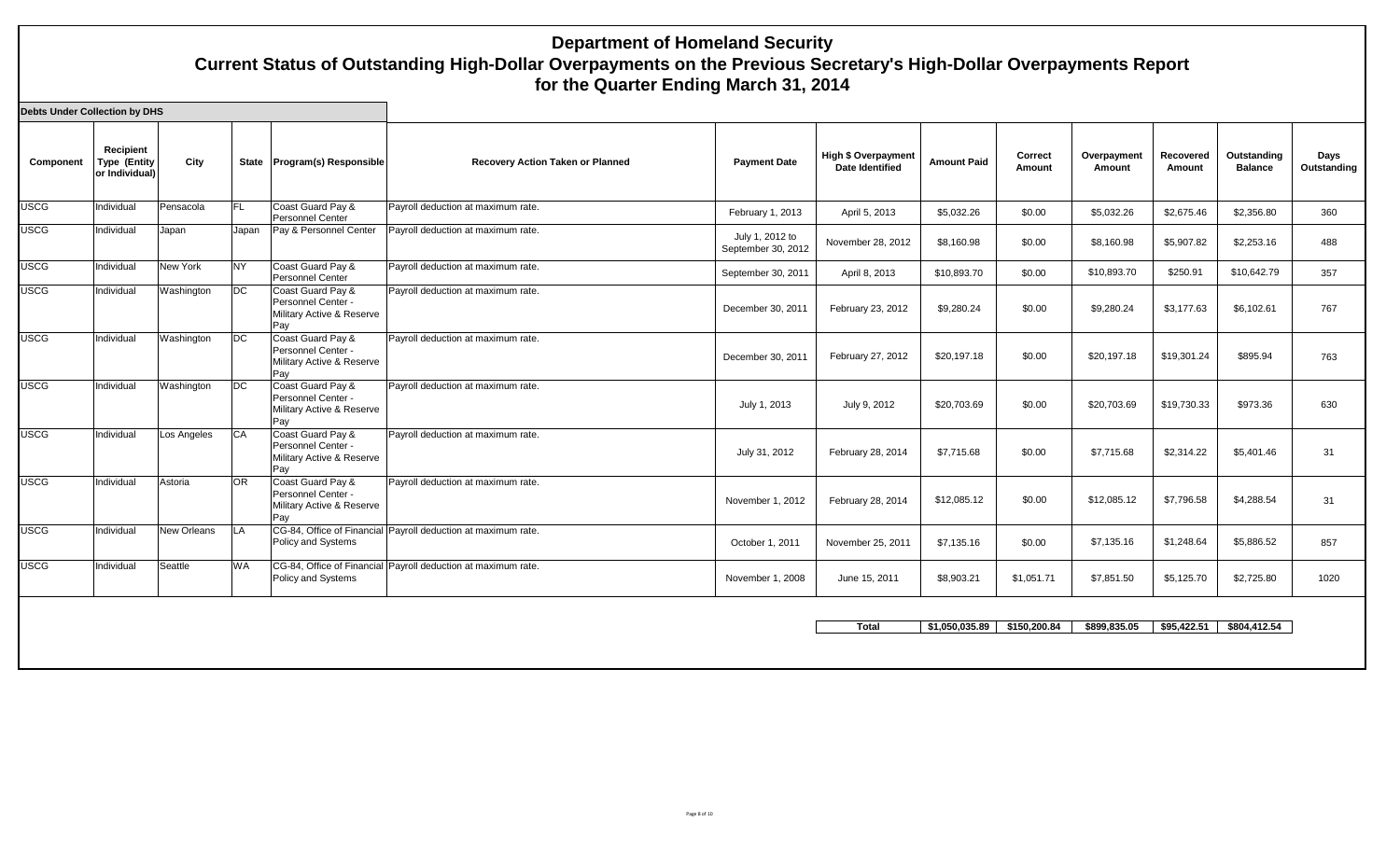| Recipient  | City        |                                       |                                                                             | <b>Recovery Action Taken or Planned</b> | <b>Payment Date</b>                                                                                                                                              | <b>High \$ Overpayment</b><br><b>Date Identified</b> | <b>Amount Paid</b> | Correct<br>Amount | Overpayment<br>Amount | <b>Recovered</b><br>Amount | Outstanding<br><b>Balance</b> | Days<br>Outstanding |
|------------|-------------|---------------------------------------|-----------------------------------------------------------------------------|-----------------------------------------|------------------------------------------------------------------------------------------------------------------------------------------------------------------|------------------------------------------------------|--------------------|-------------------|-----------------------|----------------------------|-------------------------------|---------------------|
| Individual | Pensacola   | <b>FL</b>                             | Coast Guard Pay &<br>Personnel Center                                       | Payroll deduction at maximum rate.      | February 1, 2013                                                                                                                                                 | April 5, 2013                                        | \$5,032.26         | \$0.00            | \$5,032.26            | \$2,675.46                 | \$2,356.80                    | 360                 |
| Individual | Japan       | Japan                                 | Pay & Personnel Center                                                      | Payroll deduction at maximum rate.      | July 1, 2012 to<br>September 30, 2012                                                                                                                            | November 28, 2012                                    | \$8,160.98         | \$0.00            | \$8,160.98            | \$5,907.82                 | \$2,253.16                    | 488                 |
| Individual | New York    | N <sub>Y</sub>                        | Coast Guard Pay &<br>Personnel Center                                       | Payroll deduction at maximum rate.      | September 30, 2011                                                                                                                                               | April 8, 2013                                        | \$10,893.70        | \$0.00            | \$10,893.70           | \$250.91                   | \$10,642.79                   | 357                 |
| Individual | Washington  | DC                                    | Coast Guard Pay &<br>Personnel Center -<br>Military Active & Reserve<br>Pay | Payroll deduction at maximum rate.      | December 30, 2011                                                                                                                                                | February 23, 2012                                    | \$9,280.24         | \$0.00            | \$9,280.24            | \$3,177.63                 | \$6,102.61                    | 767                 |
| Individual | Washington  | <b>DC</b>                             | Coast Guard Pay &<br>Personnel Center -<br>Military Active & Reserve<br>Pay | Payroll deduction at maximum rate.      | December 30, 2011                                                                                                                                                | February 27, 2012                                    | \$20,197.18        | \$0.00            | \$20,197.18           | \$19,301.24                | \$895.94                      | 763                 |
| Individual | Washington  | DC                                    | Coast Guard Pay &<br>Personnel Center -<br>Military Active & Reserve<br>Pay | Payroll deduction at maximum rate.      | July 1, 2013                                                                                                                                                     | July 9, 2012                                         | \$20,703.69        | \$0.00            | \$20,703.69           | \$19,730.33                | \$973.36                      | 630                 |
| Individual | Los Angeles | <b>CA</b>                             | Coast Guard Pay &<br>Personnel Center -<br>Military Active & Reserve<br>Pay | Payroll deduction at maximum rate.      | July 31, 2012                                                                                                                                                    | February 28, 2014                                    | \$7,715.68         | \$0.00            | \$7,715.68            | \$2,314.22                 | \$5,401.46                    | 31                  |
| Individual | Astoria     | <b>OR</b>                             | Coast Guard Pay &<br>Personnel Center -<br>Military Active & Reserve<br>Pay | Payroll deduction at maximum rate.      | November 1, 2012                                                                                                                                                 | February 28, 2014                                    | \$12,085.12        | \$0.00            | \$12,085.12           | \$7,796.58                 | \$4,288.54                    | 31                  |
| Individual | New Orleans | <b>LA</b>                             | Policy and Systems                                                          |                                         | October 1, 2011                                                                                                                                                  | November 25, 2011                                    | \$7,135.16         | \$0.00            | \$7,135.16            | \$1,248.64                 | \$5,886.52                    | 857                 |
| Individual | Seattle     | <b>WA</b>                             | Policy and Systems                                                          |                                         | November 1, 2008                                                                                                                                                 | June 15, 2011                                        | \$8,903.21         | \$1,051.71        | \$7,851.50            | \$5,125.70                 | \$2,725.80                    | 1020                |
|            |             |                                       |                                                                             |                                         |                                                                                                                                                                  | <b>Total</b>                                         |                    | \$150,200.84      | \$899.835.05          |                            | \$804,412.54                  |                     |
|            |             | <b>Type (Entity</b><br>or Individual) |                                                                             |                                         | State   Program(s) Responsible<br>CG-84, Office of Financial Payroll deduction at maximum rate.<br>CG-84, Office of Financial Payroll deduction at maximum rate. |                                                      |                    |                   | \$1.050.035.89        |                            |                               | \$95.422.51         |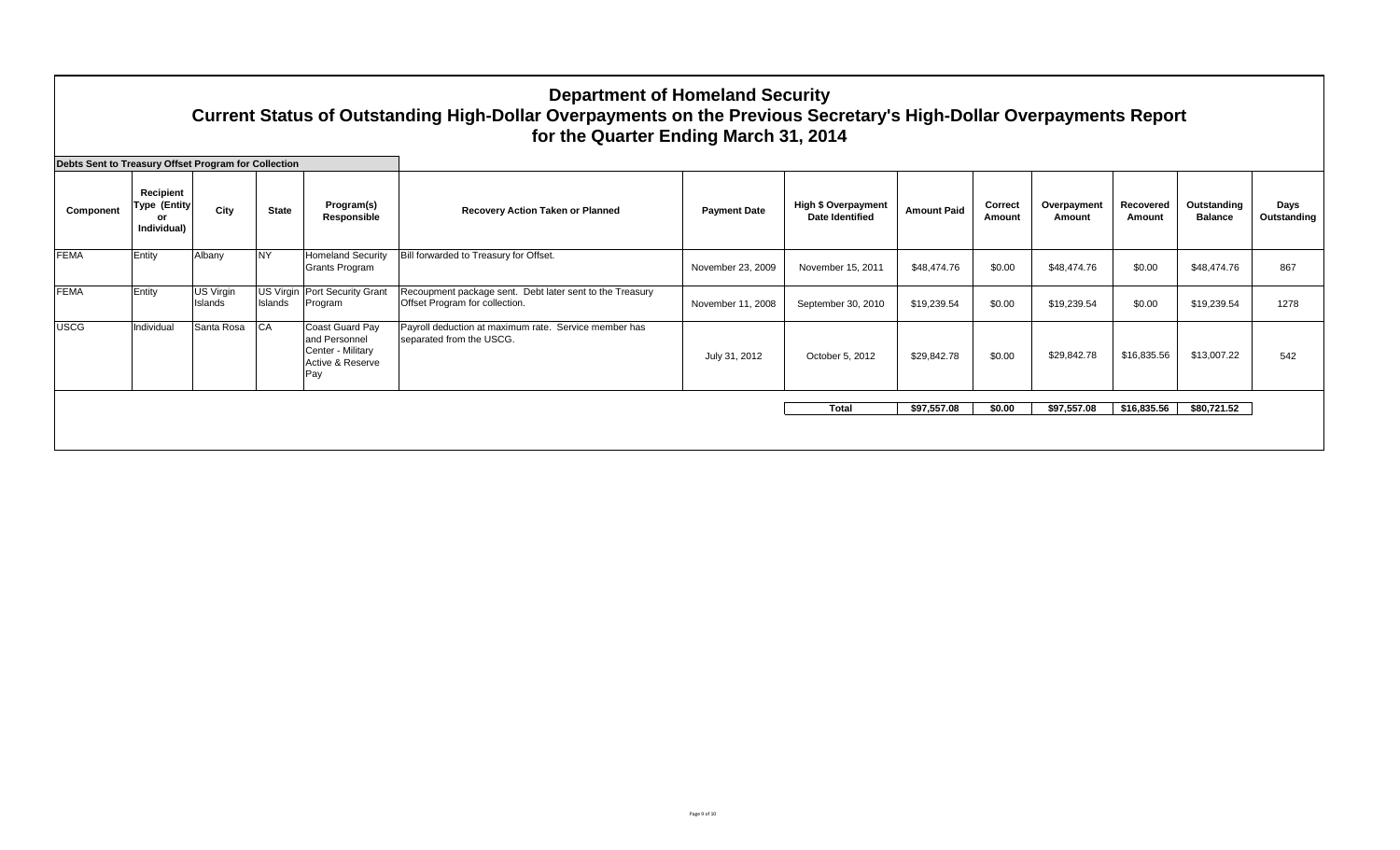|                                                      |                                                  |                      |                      |                                                                                  | <b>Department of Homeland Security</b><br>Current Status of Outstanding High-Dollar Overpayments on the Previous Secretary's High-Dollar Overpayments Report<br>for the Quarter Ending March 31, 2014 |                     |                                                      |                    |                   |                       |                     |                               |                     |
|------------------------------------------------------|--------------------------------------------------|----------------------|----------------------|----------------------------------------------------------------------------------|-------------------------------------------------------------------------------------------------------------------------------------------------------------------------------------------------------|---------------------|------------------------------------------------------|--------------------|-------------------|-----------------------|---------------------|-------------------------------|---------------------|
| Debts Sent to Treasury Offset Program for Collection |                                                  |                      |                      |                                                                                  |                                                                                                                                                                                                       |                     |                                                      |                    |                   |                       |                     |                               |                     |
| Component                                            | Recipient<br><b>Type (Entity)</b><br>Individual) | City                 | <b>State</b>         | Program(s)<br>Responsible                                                        | Recovery Action Taken or Planned                                                                                                                                                                      | <b>Payment Date</b> | <b>High \$ Overpayment</b><br><b>Date Identified</b> | <b>Amount Paid</b> | Correct<br>Amount | Overpayment<br>Amount | Recovered<br>Amount | Outstanding<br><b>Balance</b> | Days<br>Outstanding |
| <b>FEMA</b>                                          | Entity                                           | Albany               | <b>NY</b>            | <b>Homeland Security</b><br>Grants Program                                       | Bill forwarded to Treasury for Offset.                                                                                                                                                                | November 23, 2009   | November 15, 2011                                    | \$48,474.76        | \$0.00            | \$48,474.76           | \$0.00              | \$48.474.76                   | 867                 |
| <b>FEMA</b>                                          | Entity                                           | US Virgin<br>Islands | US Virgin<br>Islands | Port Security Grant<br>Program                                                   | Recoupment package sent. Debt later sent to the Treasury<br>Offset Program for collection.                                                                                                            | November 11, 2008   | September 30, 2010                                   | \$19,239.54        | \$0.00            | \$19,239.54           | \$0.00              | \$19,239.54                   | 1278                |
| <b>USCG</b>                                          | Individual                                       | Santa Rosa           | <b>CA</b>            | Coast Guard Pay<br>and Personnel<br>Center - Militarv<br>Active & Reserve<br>Pay | Payroll deduction at maximum rate. Service member has<br>separated from the USCG.                                                                                                                     | July 31, 2012       | October 5, 2012                                      | \$29,842.78        | \$0.00            | \$29,842.78           | \$16,835.56         | \$13,007.22                   | 542                 |
|                                                      |                                                  |                      |                      |                                                                                  |                                                                                                                                                                                                       |                     | <b>Total</b>                                         | \$97,557,08        | \$0.00            | \$97,557.08           | \$16,835.56         | \$80,721.52                   |                     |
|                                                      |                                                  |                      |                      |                                                                                  |                                                                                                                                                                                                       |                     |                                                      |                    |                   |                       |                     |                               |                     |